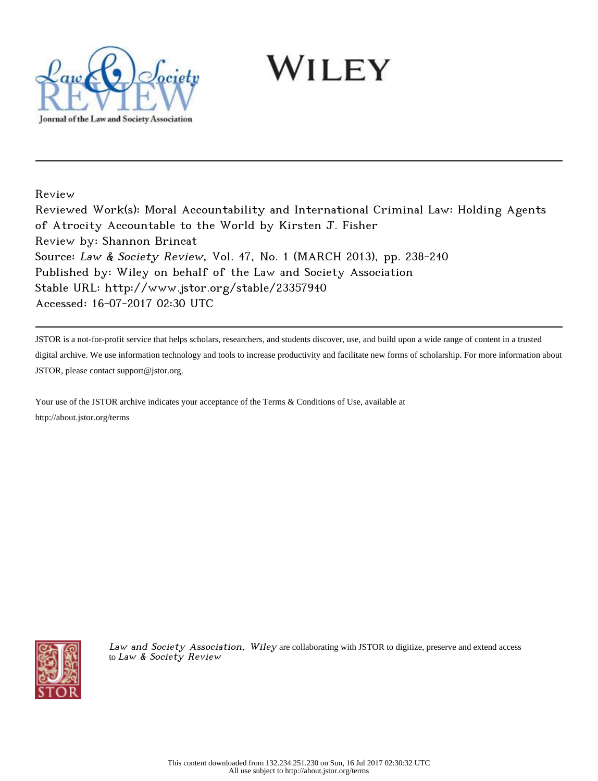

WILEY

Review

Reviewed Work(s): Moral Accountability and International Criminal Law: Holding Agents of Atrocity Accountable to the World by Kirsten J. Fisher Review by: Shannon Brincat Source: Law & Society Review, Vol. 47, No. 1 (MARCH 2013), pp. 238-240 Published by: Wiley on behalf of the Law and Society Association Stable URL: http://www.jstor.org/stable/23357940 Accessed: 16-07-2017 02:30 UTC

JSTOR is a not-for-profit service that helps scholars, researchers, and students discover, use, and build upon a wide range of content in a trusted

digital archive. We use information technology and tools to increase productivity and facilitate new forms of scholarship. For more information about JSTOR, please contact support@jstor.org.

Your use of the JSTOR archive indicates your acceptance of the Terms & Conditions of Use, available at http://about.jstor.org/terms



Law and Society Association, Wiley are collaborating with JSTOR to digitize, preserve and extend access to Law & Society Review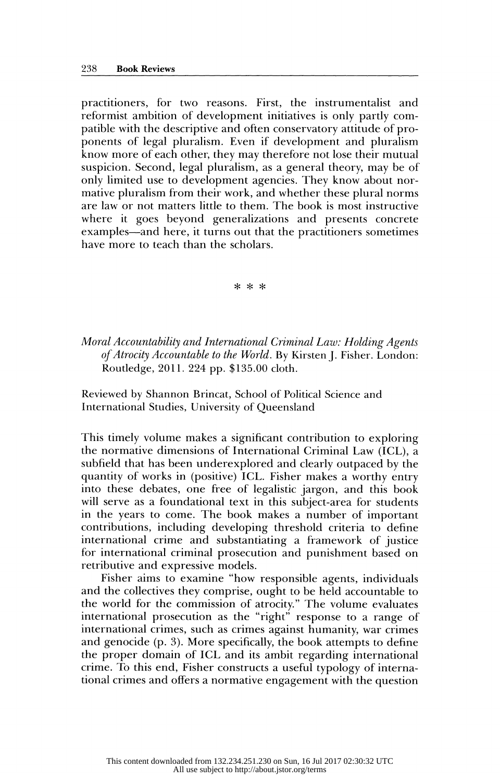practitioners, for two reasons. First, the instrumentalist and reformist ambition of development initiatives is only partly com patible with the descriptive and often conservatory attitude of pro ponents of legal pluralism. Even if development and pluralism know more of each other, they may therefore not lose their mutual suspicion. Second, legal pluralism, as a general theory, may be of only limited use to development agencies. They know about nor mative pluralism from their work, and whether these plural norms are law or not matters little to them. The book is most instructive where it goes beyond generalizations and presents concrete examples—and here, it turns out that the practitioners sometimes have more to teach than the scholars.

\* \* \*

## Moral Accountability and International Criminal Law: Holding Agents of Atrocity Accountable to the World. By Kirsten J. Fisher. London: Routledge, 2011. 224 pp. \$135.00 cloth.

 Reviewed by Shannon Brincat, School of Political Science and International Studies, University of Queensland

 This timely volume makes a significant contribution to exploring the normative dimensions of International Criminal Law (ICL), a subfield that has been underexplored and clearly outpaced by the quantity of works in (positive) ICL. Fisher makes a worthy entry into these debates, one free of legalistic jargon, and this book will serve as a foundational text in this subject-area for students in the years to come. The book makes a number of important contributions, including developing threshold criteria to define international crime and substantiating a framework of justice for international criminal prosecution and punishment based on retributive and expressive models.

 Fisher aims to examine "how responsible agents, individuals and the collectives they comprise, ought to be held accountable to the world for the commission of atrocity." The volume evaluates international prosecution as the "right" response to a range of international crimes, such as crimes against humanity, war crimes and genocide (p. 3). More specifically, the book attempts to define the proper domain of ICL and its ambit regarding international crime. To this end, Fisher constructs a useful typology of interna tional crimes and offers a normative engagement with the question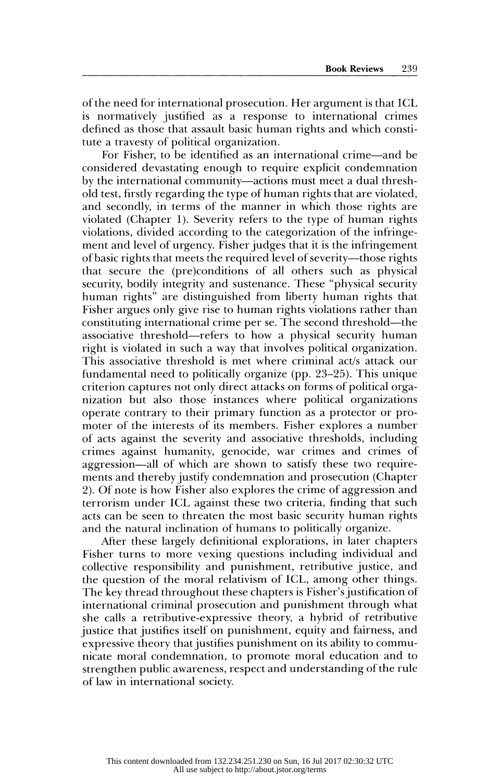of the need for international prosecution. Her argument is that ICL is normatively justified as a response to international crimes defined as those that assault basic human rights and which consti tute a travesty of political organization.

 For Fisher, to be identified as an international crime—and be considered devastating enough to require explicit condemnation by the international community—actions must meet a dual thresh old test, firstly regarding the type of human rights that are violated, and secondly, in terms of the manner in which those rights are violated (Chapter 1). Severity refers to the type of human rights violations, divided according to the categorization of the infringe ment and level of urgency. Fisher judges that it is the infringement of basic rights that meets the required level of severity—those rights that secure the (pre)conditions of all others such as physical security, bodily integrity and sustenance. These "physical security human rights" are distinguished from liberty human rights that Fisher argues only give rise to human rights violations rather than constituting international crime per se. The second threshold—the associative threshold—refers to how a physical security human right is violated in such a way that involves political organization. This associative threshold is met where criminal act/s attack our fundamental need to politically organize (pp. 23-25). This unique criterion captures not only direct attacks on forms of political orga nization but also those instances where political organizations operate contrary to their primary function as a protector or pro moter of the interests of its members. Fisher explores a number of acts against the severity and associative thresholds, including crimes against humanity, genocide, war crimes and crimes of aggression—all of which are shown to satisfy these two require ments and thereby justify condemnation and prosecution (Chapter 2). Of note is how Fisher also explores the crime of aggression and terrorism under ICL against these two criteria, finding that such acts can be seen to threaten the most basic security human rights and the natural inclination of humans to politically organize.

 After these largely definitional explorations, in later chapters Fisher turns to more vexing questions including individual and collective responsibility and punishment, retributive justice, and the question of the moral relativism of ICL, among other things. The key thread throughout these chapters is Fisher's justification of international criminal prosecution and punishment through what she calls a retributive-expressive theory, a hybrid of retributive justice that justifies itself on punishment, equity and fairness, and expressive theory that justifies punishment on its ability to commu nicate moral condemnation, to promote moral education and to strengthen public awareness, respect and understanding of the rule of law in international society.